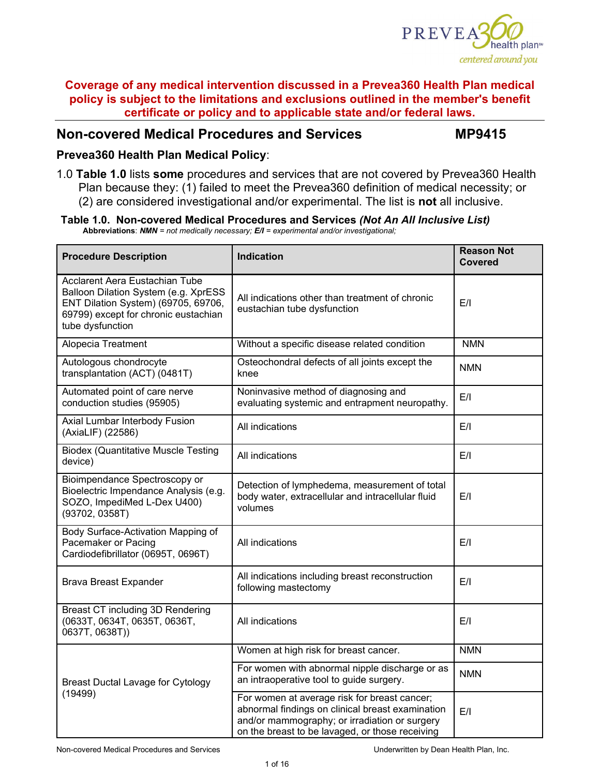

# **Non-covered Medical Procedures and Services MP9415**

### **Prevea360 Health Plan Medical Policy**:

1.0 **Table 1.0** lists **some** procedures and services that are not covered by Prevea360 Health Plan because they: (1) failed to meet the Prevea360 definition of medical necessity; or (2) are considered investigational and/or experimental. The list is **not** all inclusive.

# Table 1.0. Non-covered Medical Procedures and Services (Not An All Inclusive List)<br>Abbreviations: NMN = not medically necessary; E/I = experimental and/or investigational;

| <b>Procedure Description</b>                                                                                                                                              | <b>Indication</b>                                                                                                                                                                                    | <b>Reason Not</b><br><b>Covered</b> |
|---------------------------------------------------------------------------------------------------------------------------------------------------------------------------|------------------------------------------------------------------------------------------------------------------------------------------------------------------------------------------------------|-------------------------------------|
| Acclarent Aera Eustachian Tube<br>Balloon Dilation System (e.g. XprESS<br>ENT Dilation System) (69705, 69706,<br>69799) except for chronic eustachian<br>tube dysfunction | All indications other than treatment of chronic<br>eustachian tube dysfunction                                                                                                                       | E/I                                 |
| Alopecia Treatment                                                                                                                                                        | Without a specific disease related condition                                                                                                                                                         | <b>NMN</b>                          |
| Autologous chondrocyte<br>transplantation (ACT) (0481T)                                                                                                                   | Osteochondral defects of all joints except the<br>knee                                                                                                                                               | <b>NMN</b>                          |
| Automated point of care nerve<br>conduction studies (95905)                                                                                                               | Noninvasive method of diagnosing and<br>evaluating systemic and entrapment neuropathy.                                                                                                               | E/I                                 |
| Axial Lumbar Interbody Fusion<br>(AxiaLIF) (22586)                                                                                                                        | All indications                                                                                                                                                                                      | E/I                                 |
| <b>Biodex (Quantitative Muscle Testing</b><br>device)                                                                                                                     | All indications                                                                                                                                                                                      | E/I                                 |
| Bioimpendance Spectroscopy or<br>Bioelectric Impendance Analysis (e.g.<br>SOZO, ImpediMed L-Dex U400)<br>(93702, 0358T)                                                   | Detection of lymphedema, measurement of total<br>body water, extracellular and intracellular fluid<br>volumes                                                                                        | E/I                                 |
| Body Surface-Activation Mapping of<br>Pacemaker or Pacing<br>Cardiodefibrillator (0695T, 0696T)                                                                           | All indications                                                                                                                                                                                      | E/I                                 |
| <b>Brava Breast Expander</b>                                                                                                                                              | All indications including breast reconstruction<br>following mastectomy                                                                                                                              | E/I                                 |
| Breast CT including 3D Rendering<br>(0633T, 0634T, 0635T, 0636T,<br>0637T, 0638T))                                                                                        | All indications                                                                                                                                                                                      | E/I                                 |
|                                                                                                                                                                           | Women at high risk for breast cancer.                                                                                                                                                                | <b>NMN</b>                          |
| <b>Breast Ductal Lavage for Cytology</b>                                                                                                                                  | For women with abnormal nipple discharge or as<br>an intraoperative tool to guide surgery.                                                                                                           | <b>NMN</b>                          |
| (19499)                                                                                                                                                                   | For women at average risk for breast cancer;<br>abnormal findings on clinical breast examination<br>and/or mammography; or irradiation or surgery<br>on the breast to be lavaged, or those receiving | E/I                                 |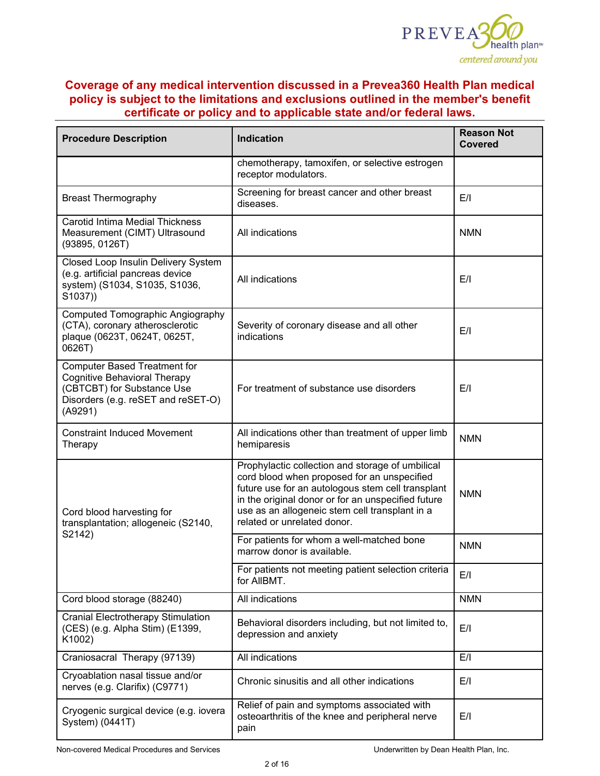

| <b>Procedure Description</b>                                                                                                                              | <b>Indication</b>                                                                                                                                                                                                                                                                           | <b>Reason Not</b><br><b>Covered</b> |
|-----------------------------------------------------------------------------------------------------------------------------------------------------------|---------------------------------------------------------------------------------------------------------------------------------------------------------------------------------------------------------------------------------------------------------------------------------------------|-------------------------------------|
|                                                                                                                                                           | chemotherapy, tamoxifen, or selective estrogen<br>receptor modulators.                                                                                                                                                                                                                      |                                     |
| <b>Breast Thermography</b>                                                                                                                                | Screening for breast cancer and other breast<br>diseases.                                                                                                                                                                                                                                   | E/I                                 |
| <b>Carotid Intima Medial Thickness</b><br>Measurement (CIMT) Ultrasound<br>(93895, 0126T)                                                                 | All indications                                                                                                                                                                                                                                                                             | <b>NMN</b>                          |
| Closed Loop Insulin Delivery System<br>(e.g. artificial pancreas device<br>system) (S1034, S1035, S1036,<br>S1037))                                       | All indications                                                                                                                                                                                                                                                                             | E/I                                 |
| Computed Tomographic Angiography<br>(CTA), coronary atherosclerotic<br>plaque (0623T, 0624T, 0625T,<br>0626T)                                             | Severity of coronary disease and all other<br>indications                                                                                                                                                                                                                                   | E/I                                 |
| <b>Computer Based Treatment for</b><br><b>Cognitive Behavioral Therapy</b><br>(CBTCBT) for Substance Use<br>Disorders (e.g. reSET and reSET-O)<br>(A9291) | For treatment of substance use disorders                                                                                                                                                                                                                                                    | E/I                                 |
| <b>Constraint Induced Movement</b><br>Therapy                                                                                                             | All indications other than treatment of upper limb<br>hemiparesis                                                                                                                                                                                                                           | <b>NMN</b>                          |
| Cord blood harvesting for<br>transplantation; allogeneic (S2140,                                                                                          | Prophylactic collection and storage of umbilical<br>cord blood when proposed for an unspecified<br>future use for an autologous stem cell transplant<br>in the original donor or for an unspecified future<br>use as an allogeneic stem cell transplant in a<br>related or unrelated donor. | <b>NMN</b>                          |
| S2142)                                                                                                                                                    | For patients for whom a well-matched bone<br>marrow donor is available.                                                                                                                                                                                                                     | <b>NMN</b>                          |
|                                                                                                                                                           | For patients not meeting patient selection criteria<br>for AllBMT.                                                                                                                                                                                                                          | E/I                                 |
| Cord blood storage (88240)                                                                                                                                | All indications                                                                                                                                                                                                                                                                             | <b>NMN</b>                          |
| <b>Cranial Electrotherapy Stimulation</b><br>(CES) (e.g. Alpha Stim) (E1399,<br>K1002)                                                                    | Behavioral disorders including, but not limited to,<br>depression and anxiety                                                                                                                                                                                                               | E/I                                 |
| Craniosacral Therapy (97139)                                                                                                                              | All indications                                                                                                                                                                                                                                                                             | E/I                                 |
| Cryoablation nasal tissue and/or<br>nerves (e.g. Clarifix) (C9771)                                                                                        | Chronic sinusitis and all other indications                                                                                                                                                                                                                                                 | E/I                                 |
| Cryogenic surgical device (e.g. iovera<br>System) (0441T)                                                                                                 | Relief of pain and symptoms associated with<br>osteoarthritis of the knee and peripheral nerve<br>pain                                                                                                                                                                                      | E/I                                 |

Non-covered Medical Procedures and Services Underwritten by Dean Health Plan, Inc.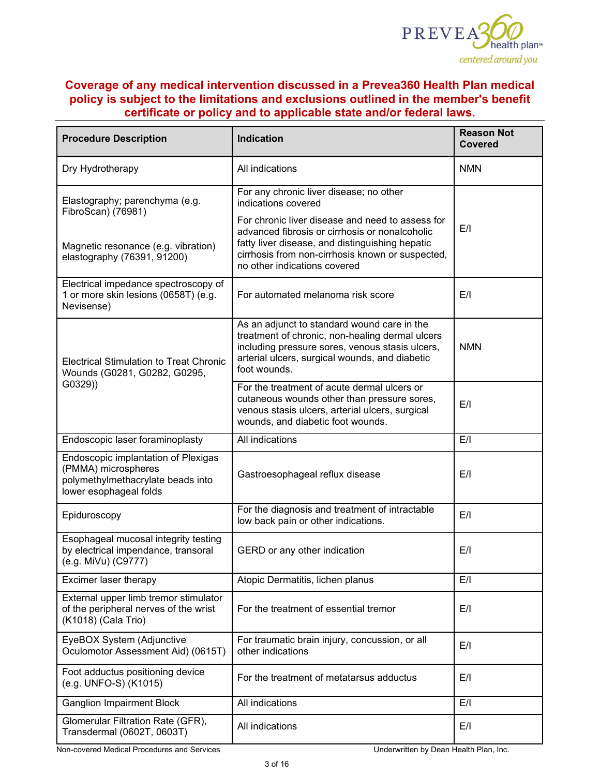

| <b>Procedure Description</b>                                                                                              | <b>Indication</b>                                                                                                                                                                                                                         | <b>Reason Not</b><br><b>Covered</b> |
|---------------------------------------------------------------------------------------------------------------------------|-------------------------------------------------------------------------------------------------------------------------------------------------------------------------------------------------------------------------------------------|-------------------------------------|
| Dry Hydrotherapy                                                                                                          | All indications                                                                                                                                                                                                                           | <b>NMN</b>                          |
| Elastography; parenchyma (e.g.                                                                                            | For any chronic liver disease; no other<br>indications covered                                                                                                                                                                            |                                     |
| FibroScan) (76981)<br>Magnetic resonance (e.g. vibration)<br>elastography (76391, 91200)                                  | For chronic liver disease and need to assess for<br>advanced fibrosis or cirrhosis or nonalcoholic<br>fatty liver disease, and distinguishing hepatic<br>cirrhosis from non-cirrhosis known or suspected,<br>no other indications covered | E/I                                 |
| Electrical impedance spectroscopy of<br>1 or more skin lesions (0658T) (e.g.<br>Nevisense)                                | For automated melanoma risk score                                                                                                                                                                                                         | E/I                                 |
| <b>Electrical Stimulation to Treat Chronic</b><br>Wounds (G0281, G0282, G0295,                                            | As an adjunct to standard wound care in the<br>treatment of chronic, non-healing dermal ulcers<br>including pressure sores, venous stasis ulcers,<br>arterial ulcers, surgical wounds, and diabetic<br>foot wounds.                       | <b>NMN</b>                          |
| G0329))                                                                                                                   | For the treatment of acute dermal ulcers or<br>cutaneous wounds other than pressure sores,<br>venous stasis ulcers, arterial ulcers, surgical<br>wounds, and diabetic foot wounds.                                                        | E/I                                 |
| Endoscopic laser foraminoplasty                                                                                           | All indications                                                                                                                                                                                                                           | E/I                                 |
| Endoscopic implantation of Plexigas<br>(PMMA) microspheres<br>polymethylmethacrylate beads into<br>lower esophageal folds | Gastroesophageal reflux disease                                                                                                                                                                                                           | E/I                                 |
| Epiduroscopy                                                                                                              | For the diagnosis and treatment of intractable<br>low back pain or other indications.                                                                                                                                                     | E/I                                 |
| Esophageal mucosal integrity testing<br>by electrical impendance, transoral<br>(e.g. MiVu) (C9777)                        | GERD or any other indication                                                                                                                                                                                                              | E/I                                 |
| Excimer laser therapy                                                                                                     | Atopic Dermatitis, lichen planus                                                                                                                                                                                                          | E/I                                 |
| External upper limb tremor stimulator<br>of the peripheral nerves of the wrist<br>(K1018) (Cala Trio)                     | For the treatment of essential tremor                                                                                                                                                                                                     | E/I                                 |
| EyeBOX System (Adjunctive<br>Oculomotor Assessment Aid) (0615T)                                                           | For traumatic brain injury, concussion, or all<br>other indications                                                                                                                                                                       | E/I                                 |
| Foot adductus positioning device<br>(e.g. UNFO-S) (K1015)                                                                 | For the treatment of metatarsus adductus                                                                                                                                                                                                  | E/I                                 |
| <b>Ganglion Impairment Block</b>                                                                                          | All indications                                                                                                                                                                                                                           | E/I                                 |
| Glomerular Filtration Rate (GFR),<br>Transdermal (0602T, 0603T)                                                           | All indications                                                                                                                                                                                                                           | E/I                                 |

Non-covered Medical Procedures and Services **Non-covered Medical Procedures and Services** Underwritten by Dean Health Plan, Inc.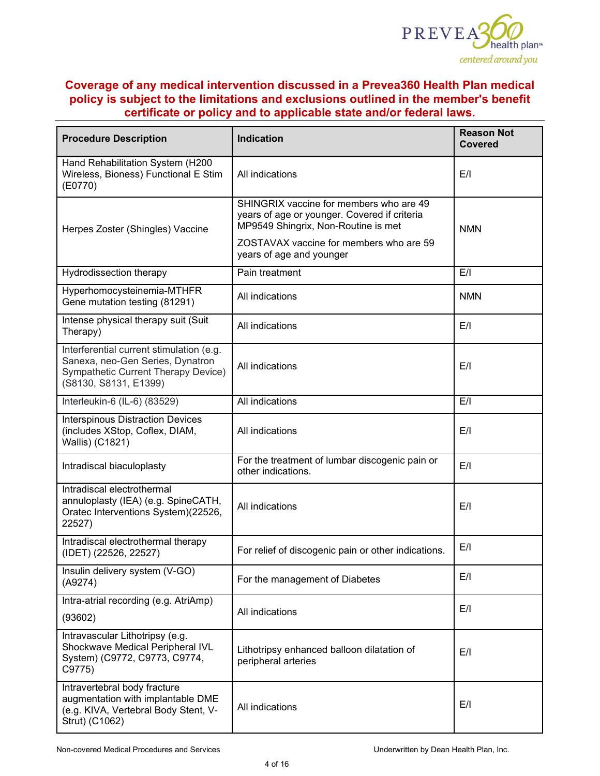

| <b>Procedure Description</b>                                                                                                                 | <b>Indication</b>                                                                                                              | <b>Reason Not</b><br>Covered |
|----------------------------------------------------------------------------------------------------------------------------------------------|--------------------------------------------------------------------------------------------------------------------------------|------------------------------|
| Hand Rehabilitation System (H200<br>Wireless, Bioness) Functional E Stim<br>(E0770)                                                          | All indications                                                                                                                | E/I                          |
| Herpes Zoster (Shingles) Vaccine                                                                                                             | SHINGRIX vaccine for members who are 49<br>years of age or younger. Covered if criteria<br>MP9549 Shingrix, Non-Routine is met | <b>NMN</b>                   |
|                                                                                                                                              | ZOSTAVAX vaccine for members who are 59<br>years of age and younger                                                            |                              |
| Hydrodissection therapy                                                                                                                      | Pain treatment                                                                                                                 | E/I                          |
| Hyperhomocysteinemia-MTHFR<br>Gene mutation testing (81291)                                                                                  | All indications                                                                                                                | <b>NMN</b>                   |
| Intense physical therapy suit (Suit<br>Therapy)                                                                                              | All indications                                                                                                                | E/I                          |
| Interferential current stimulation (e.g.<br>Sanexa, neo-Gen Series, Dynatron<br>Sympathetic Current Therapy Device)<br>(S8130, S8131, E1399) | All indications                                                                                                                | E/I                          |
| Interleukin-6 (IL-6) (83529)                                                                                                                 | All indications                                                                                                                | E/I                          |
| <b>Interspinous Distraction Devices</b><br>(includes XStop, Coflex, DIAM,<br>Wallis) (C1821)                                                 | All indications                                                                                                                | E/I                          |
| Intradiscal biaculoplasty                                                                                                                    | For the treatment of lumbar discogenic pain or<br>other indications.                                                           | E/I                          |
| Intradiscal electrothermal<br>annuloplasty (IEA) (e.g. SpineCATH,<br>Oratec Interventions System)(22526,<br>22527)                           | All indications                                                                                                                | E/I                          |
| Intradiscal electrothermal therapy<br>(IDET) (22526, 22527)                                                                                  | For relief of discogenic pain or other indications.                                                                            | E/I                          |
| Insulin delivery system (V-GO)<br>(A9274)                                                                                                    | For the management of Diabetes                                                                                                 | E/I                          |
| Intra-atrial recording (e.g. AtriAmp)                                                                                                        |                                                                                                                                | E/I                          |
| (93602)                                                                                                                                      | All indications                                                                                                                |                              |
| Intravascular Lithotripsy (e.g.<br>Shockwave Medical Peripheral IVL<br>System) (C9772, C9773, C9774,<br>C9775)                               | Lithotripsy enhanced balloon dilatation of<br>peripheral arteries                                                              | E/I                          |
| Intravertebral body fracture<br>augmentation with implantable DME<br>(e.g. KIVA, Vertebral Body Stent, V-<br>Strut) (C1062)                  | All indications                                                                                                                | E/I                          |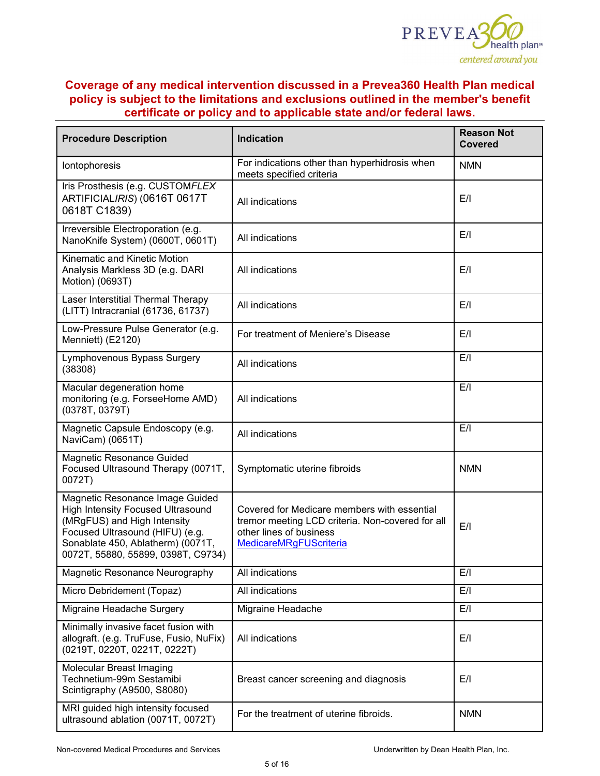

| <b>Procedure Description</b>                                                                                                                                                                                             | <b>Indication</b>                                                                                                                                           | <b>Reason Not</b><br><b>Covered</b> |
|--------------------------------------------------------------------------------------------------------------------------------------------------------------------------------------------------------------------------|-------------------------------------------------------------------------------------------------------------------------------------------------------------|-------------------------------------|
| lontophoresis                                                                                                                                                                                                            | For indications other than hyperhidrosis when<br>meets specified criteria                                                                                   | <b>NMN</b>                          |
| Iris Prosthesis (e.g. CUSTOMFLEX<br>ARTIFICIALIRIS) (0616T 0617T<br>0618T C1839)                                                                                                                                         | All indications                                                                                                                                             | E/I                                 |
| Irreversible Electroporation (e.g.<br>NanoKnife System) (0600T, 0601T)                                                                                                                                                   | All indications                                                                                                                                             | E/I                                 |
| Kinematic and Kinetic Motion<br>Analysis Markless 3D (e.g. DARI<br>Motion) (0693T)                                                                                                                                       | All indications                                                                                                                                             | E/I                                 |
| Laser Interstitial Thermal Therapy<br>(LITT) Intracranial (61736, 61737)                                                                                                                                                 | All indications                                                                                                                                             | E/I                                 |
| Low-Pressure Pulse Generator (e.g.<br>Menniett) (E2120)                                                                                                                                                                  | For treatment of Meniere's Disease                                                                                                                          | E/I                                 |
| Lymphovenous Bypass Surgery<br>(38308)                                                                                                                                                                                   | All indications                                                                                                                                             | E/I                                 |
| Macular degeneration home<br>monitoring (e.g. ForseeHome AMD)<br>(0378T, 0379T)                                                                                                                                          | All indications                                                                                                                                             | E/I                                 |
| Magnetic Capsule Endoscopy (e.g.<br>NaviCam) (0651T)                                                                                                                                                                     | All indications                                                                                                                                             | E/I                                 |
| Magnetic Resonance Guided<br>Focused Ultrasound Therapy (0071T,<br>0072T)                                                                                                                                                | Symptomatic uterine fibroids                                                                                                                                | <b>NMN</b>                          |
| Magnetic Resonance Image Guided<br><b>High Intensity Focused Ultrasound</b><br>(MRgFUS) and High Intensity<br>Focused Ultrasound (HIFU) (e.g.<br>Sonablate 450, Ablatherm) (0071T,<br>0072T, 55880, 55899, 0398T, C9734) | Covered for Medicare members with essential<br>tremor meeting LCD criteria. Non-covered for all<br>other lines of business<br><b>MedicareMRgFUScriteria</b> | E/I                                 |
| Magnetic Resonance Neurography                                                                                                                                                                                           | All indications                                                                                                                                             | E/I                                 |
| Micro Debridement (Topaz)                                                                                                                                                                                                | All indications                                                                                                                                             | E/I                                 |
| Migraine Headache Surgery                                                                                                                                                                                                | Migraine Headache                                                                                                                                           | E/I                                 |
| Minimally invasive facet fusion with<br>allograft. (e.g. TruFuse, Fusio, NuFix)<br>(0219T, 0220T, 0221T, 0222T)                                                                                                          | All indications                                                                                                                                             | E/I                                 |
| Molecular Breast Imaging<br>Technetium-99m Sestamibi<br>Scintigraphy (A9500, S8080)                                                                                                                                      | Breast cancer screening and diagnosis                                                                                                                       | E/I                                 |
| MRI guided high intensity focused<br>ultrasound ablation (0071T, 0072T)                                                                                                                                                  | For the treatment of uterine fibroids.                                                                                                                      | <b>NMN</b>                          |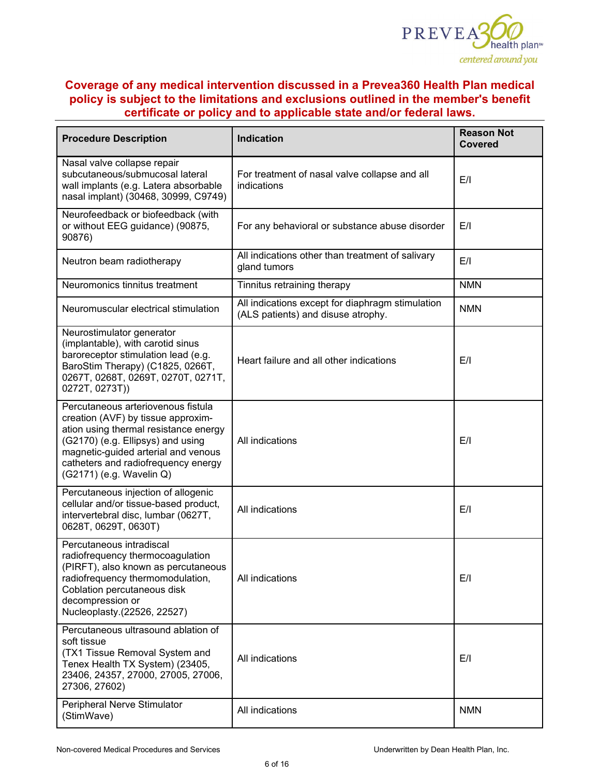

| <b>Procedure Description</b>                                                                                                                                                                                                                                     | <b>Indication</b>                                                                      | <b>Reason Not</b><br><b>Covered</b> |
|------------------------------------------------------------------------------------------------------------------------------------------------------------------------------------------------------------------------------------------------------------------|----------------------------------------------------------------------------------------|-------------------------------------|
| Nasal valve collapse repair<br>subcutaneous/submucosal lateral<br>wall implants (e.g. Latera absorbable<br>nasal implant) (30468, 30999, C9749)                                                                                                                  | For treatment of nasal valve collapse and all<br>indications                           | E/I                                 |
| Neurofeedback or biofeedback (with<br>or without EEG guidance) (90875,<br>90876)                                                                                                                                                                                 | For any behavioral or substance abuse disorder                                         | E/I                                 |
| Neutron beam radiotherapy                                                                                                                                                                                                                                        | All indications other than treatment of salivary<br>gland tumors                       | E/I                                 |
| Neuromonics tinnitus treatment                                                                                                                                                                                                                                   | Tinnitus retraining therapy                                                            | <b>NMN</b>                          |
| Neuromuscular electrical stimulation                                                                                                                                                                                                                             | All indications except for diaphragm stimulation<br>(ALS patients) and disuse atrophy. | <b>NMN</b>                          |
| Neurostimulator generator<br>(implantable), with carotid sinus<br>baroreceptor stimulation lead (e.g.<br>BaroStim Therapy) (C1825, 0266T,<br>0267T, 0268T, 0269T, 0270T, 0271T,<br>0272T, 0273T))                                                                | Heart failure and all other indications                                                | E/I                                 |
| Percutaneous arteriovenous fistula<br>creation (AVF) by tissue approxim-<br>ation using thermal resistance energy<br>(G2170) (e.g. Ellipsys) and using<br>magnetic-guided arterial and venous<br>catheters and radiofrequency energy<br>(G2171) (e.g. Wavelin Q) | All indications                                                                        | E/I                                 |
| Percutaneous injection of allogenic<br>cellular and/or tissue-based product,<br>intervertebral disc, lumbar (0627T,<br>0628T, 0629T, 0630T)                                                                                                                      | All indications                                                                        | E/I                                 |
| Percutaneous intradiscal<br>radiofrequency thermocoagulation<br>(PIRFT), also known as percutaneous<br>radiofrequency thermomodulation,<br>Coblation percutaneous disk<br>decompression or<br>Nucleoplasty.(22526, 22527)                                        | All indications                                                                        | E/I                                 |
| Percutaneous ultrasound ablation of<br>soft tissue<br>(TX1 Tissue Removal System and<br>Tenex Health TX System) (23405,<br>23406, 24357, 27000, 27005, 27006,<br>27306, 27602)                                                                                   | All indications                                                                        | E/I                                 |
| Peripheral Nerve Stimulator<br>(StimWave)                                                                                                                                                                                                                        | All indications                                                                        | <b>NMN</b>                          |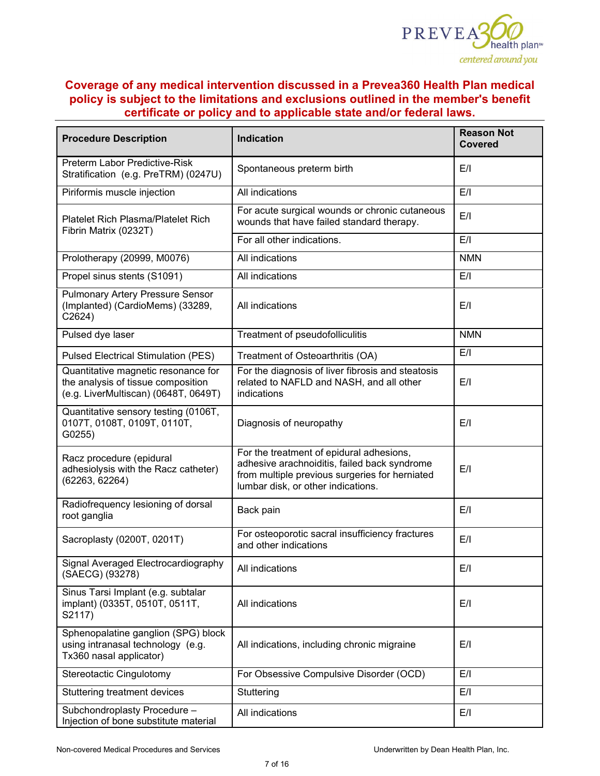

| <b>Procedure Description</b>                                                                                      | <b>Indication</b>                                                                                                                                                                | <b>Reason Not</b><br><b>Covered</b> |
|-------------------------------------------------------------------------------------------------------------------|----------------------------------------------------------------------------------------------------------------------------------------------------------------------------------|-------------------------------------|
| <b>Preterm Labor Predictive-Risk</b><br>Stratification (e.g. PreTRM) (0247U)                                      | Spontaneous preterm birth                                                                                                                                                        | E/I                                 |
| Piriformis muscle injection                                                                                       | All indications                                                                                                                                                                  | E/I                                 |
| <b>Platelet Rich Plasma/Platelet Rich</b><br>Fibrin Matrix (0232T)                                                | For acute surgical wounds or chronic cutaneous<br>wounds that have failed standard therapy.                                                                                      | E/I                                 |
|                                                                                                                   | For all other indications.                                                                                                                                                       | E/I                                 |
| Prolotherapy (20999, M0076)                                                                                       | <b>All indications</b>                                                                                                                                                           | <b>NMN</b>                          |
| Propel sinus stents (S1091)                                                                                       | All indications                                                                                                                                                                  | E/I                                 |
| <b>Pulmonary Artery Pressure Sensor</b><br>(Implanted) (CardioMems) (33289,<br>C2624)                             | All indications                                                                                                                                                                  | E/I                                 |
| Pulsed dye laser                                                                                                  | Treatment of pseudofolliculitis                                                                                                                                                  | <b>NMN</b>                          |
| <b>Pulsed Electrical Stimulation (PES)</b>                                                                        | Treatment of Osteoarthritis (OA)                                                                                                                                                 | E/I                                 |
| Quantitative magnetic resonance for<br>the analysis of tissue composition<br>(e.g. LiverMultiscan) (0648T, 0649T) | For the diagnosis of liver fibrosis and steatosis<br>related to NAFLD and NASH, and all other<br>indications                                                                     | E/I                                 |
| Quantitative sensory testing (0106T,<br>0107T, 0108T, 0109T, 0110T,<br>G0255)                                     | Diagnosis of neuropathy                                                                                                                                                          | E/I                                 |
| Racz procedure (epidural<br>adhesiolysis with the Racz catheter)<br>(62263, 62264)                                | For the treatment of epidural adhesions,<br>adhesive arachnoiditis, failed back syndrome<br>from multiple previous surgeries for herniated<br>lumbar disk, or other indications. | E/I                                 |
| Radiofrequency lesioning of dorsal<br>root ganglia                                                                | Back pain                                                                                                                                                                        | E/I                                 |
| Sacroplasty (0200T, 0201T)                                                                                        | For osteoporotic sacral insufficiency fractures<br>and other indications                                                                                                         | E/I                                 |
| Signal Averaged Electrocardiography<br>(SAECG) (93278)                                                            | All indications                                                                                                                                                                  | E/I                                 |
| Sinus Tarsi Implant (e.g. subtalar<br>implant) (0335T, 0510T, 0511T,<br>S2117)                                    | All indications                                                                                                                                                                  | E/I                                 |
| Sphenopalatine ganglion (SPG) block<br>using intranasal technology (e.g.<br>Tx360 nasal applicator)               | All indications, including chronic migraine                                                                                                                                      | E/I                                 |
| Stereotactic Cingulotomy                                                                                          | For Obsessive Compulsive Disorder (OCD)                                                                                                                                          | E/I                                 |
| Stuttering treatment devices                                                                                      | Stuttering                                                                                                                                                                       | E/I                                 |
| Subchondroplasty Procedure -<br>Injection of bone substitute material                                             | All indications                                                                                                                                                                  | E/I                                 |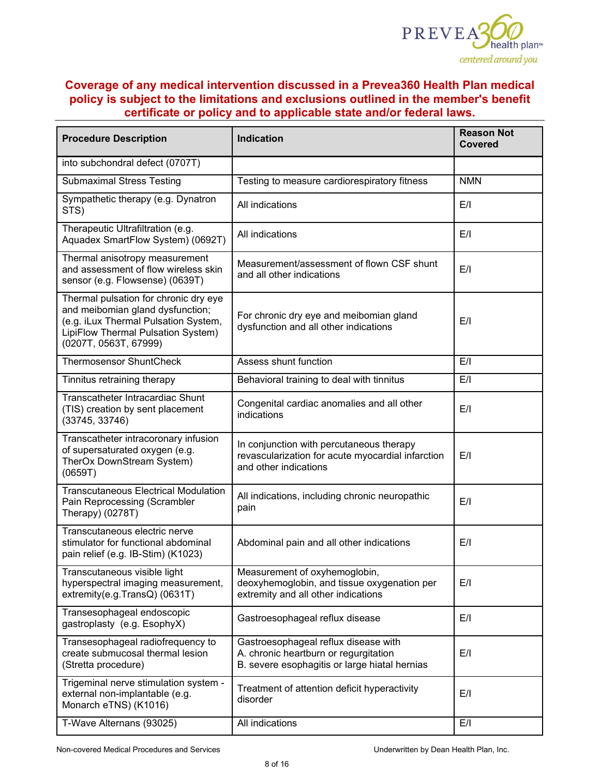

| <b>Procedure Description</b>                                                                                                                                                     | <b>Indication</b>                                                                                                              | <b>Reason Not</b><br><b>Covered</b> |
|----------------------------------------------------------------------------------------------------------------------------------------------------------------------------------|--------------------------------------------------------------------------------------------------------------------------------|-------------------------------------|
| into subchondral defect (0707T)                                                                                                                                                  |                                                                                                                                |                                     |
| <b>Submaximal Stress Testing</b>                                                                                                                                                 | Testing to measure cardiorespiratory fitness                                                                                   | <b>NMN</b>                          |
| Sympathetic therapy (e.g. Dynatron<br>STS)                                                                                                                                       | All indications                                                                                                                | E/I                                 |
| Therapeutic Ultrafiltration (e.g.<br>Aquadex SmartFlow System) (0692T)                                                                                                           | All indications                                                                                                                | E/I                                 |
| Thermal anisotropy measurement<br>and assessment of flow wireless skin<br>sensor (e.g. Flowsense) (0639T)                                                                        | Measurement/assessment of flown CSF shunt<br>and all other indications                                                         | E/I                                 |
| Thermal pulsation for chronic dry eye<br>and meibomian gland dysfunction;<br>(e.g. iLux Thermal Pulsation System,<br>LipiFlow Thermal Pulsation System)<br>(0207T, 0563T, 67999) | For chronic dry eye and meibomian gland<br>dysfunction and all other indications                                               | E/I                                 |
| <b>Thermosensor ShuntCheck</b>                                                                                                                                                   | Assess shunt function                                                                                                          | E/I                                 |
| Tinnitus retraining therapy                                                                                                                                                      | Behavioral training to deal with tinnitus                                                                                      | E/I                                 |
| Transcatheter Intracardiac Shunt<br>(TIS) creation by sent placement<br>(33745, 33746)                                                                                           | Congenital cardiac anomalies and all other<br>indications                                                                      | E/I                                 |
| Transcatheter intracoronary infusion<br>of supersaturated oxygen (e.g.<br>TherOx DownStream System)<br>(0659T)                                                                   | In conjunction with percutaneous therapy<br>revascularization for acute myocardial infarction<br>and other indications         | E/I                                 |
| <b>Transcutaneous Electrical Modulation</b><br>Pain Reprocessing (Scrambler<br>Therapy) (0278T)                                                                                  | All indications, including chronic neuropathic<br>pain                                                                         | E/I                                 |
| Transcutaneous electric nerve<br>stimulator for functional abdominal<br>pain relief (e.g. IB-Stim) (K1023)                                                                       | Abdominal pain and all other indications                                                                                       | E/I                                 |
| Transcutaneous visible light<br>hyperspectral imaging measurement,<br>extremity(e.g.TransQ) (0631T)                                                                              | Measurement of oxyhemoglobin,<br>deoxyhemoglobin, and tissue oxygenation per<br>extremity and all other indications            | E/I                                 |
| Transesophageal endoscopic<br>gastroplasty (e.g. EsophyX)                                                                                                                        | Gastroesophageal reflux disease                                                                                                | E/I                                 |
| Transesophageal radiofrequency to<br>create submucosal thermal lesion<br>(Stretta procedure)                                                                                     | Gastroesophageal reflux disease with<br>A. chronic heartburn or regurgitation<br>B. severe esophagitis or large hiatal hernias | E/I                                 |
| Trigeminal nerve stimulation system -<br>external non-implantable (e.g.<br>Monarch eTNS) (K1016)                                                                                 | Treatment of attention deficit hyperactivity<br>disorder                                                                       | E/I                                 |
| T-Wave Alternans (93025)                                                                                                                                                         | All indications                                                                                                                | E/I                                 |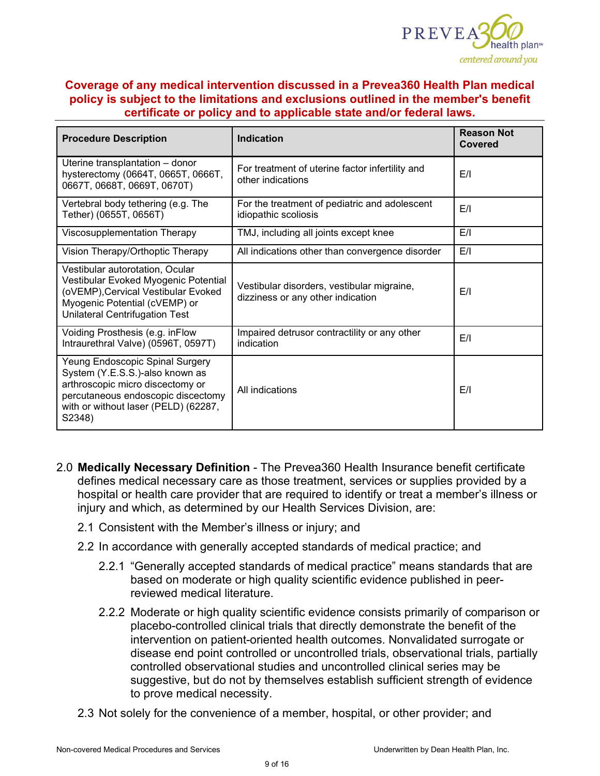

| <b>Procedure Description</b>                                                                                                                                                                   | <b>Indication</b>                                                               | <b>Reason Not</b><br><b>Covered</b> |
|------------------------------------------------------------------------------------------------------------------------------------------------------------------------------------------------|---------------------------------------------------------------------------------|-------------------------------------|
| Uterine transplantation - donor<br>hysterectomy (0664T, 0665T, 0666T,<br>0667T, 0668T, 0669T, 0670T)                                                                                           | For treatment of uterine factor infertility and<br>other indications            | E/I                                 |
| Vertebral body tethering (e.g. The<br>Tether) (0655T, 0656T)                                                                                                                                   | For the treatment of pediatric and adolescent<br>idiopathic scoliosis           | E/I                                 |
| Viscosupplementation Therapy                                                                                                                                                                   | TMJ, including all joints except knee                                           | E/I                                 |
| Vision Therapy/Orthoptic Therapy                                                                                                                                                               | All indications other than convergence disorder                                 | E/I                                 |
| Vestibular autorotation, Ocular<br>Vestibular Evoked Myogenic Potential<br>(oVEMP), Cervical Vestibular Evoked<br>Myogenic Potential (cVEMP) or<br><b>Unilateral Centrifugation Test</b>       | Vestibular disorders, vestibular migraine,<br>dizziness or any other indication | E/I                                 |
| Voiding Prosthesis (e.g. inFlow<br>Intraurethral Valve) (0596T, 0597T)                                                                                                                         | Impaired detrusor contractility or any other<br>indication                      | E/I                                 |
| Yeung Endoscopic Spinal Surgery<br>System (Y.E.S.S.)-also known as<br>arthroscopic micro discectomy or<br>percutaneous endoscopic discectomy<br>with or without laser (PELD) (62287,<br>S2348) | All indications                                                                 | E/I                                 |

- 2.0 **Medically Necessary Definition** The Prevea360 Health Insurance benefit certificate defines medical necessary care as those treatment, services or supplies provided by a hospital or health care provider that are required to identify or treat a member's illness or injury and which, as determined by our Health Services Division, are:
	- 2.1 Consistent with the Member's illness or injury; and
	- 2.2 In accordance with generally accepted standards of medical practice; and
		- 2.2.1 "Generally accepted standards of medical practice" means standards that are based on moderate or high quality scientific evidence published in peerreviewed medical literature.
		- 2.2.2 Moderate or high quality scientific evidence consists primarily of comparison or placebo-controlled clinical trials that directly demonstrate the benefit of the intervention on patient-oriented health outcomes. Nonvalidated surrogate or disease end point controlled or uncontrolled trials, observational trials, partially controlled observational studies and uncontrolled clinical series may be suggestive, but do not by themselves establish sufficient strength of evidence to prove medical necessity.
	- 2.3 Not solely for the convenience of a member, hospital, or other provider; and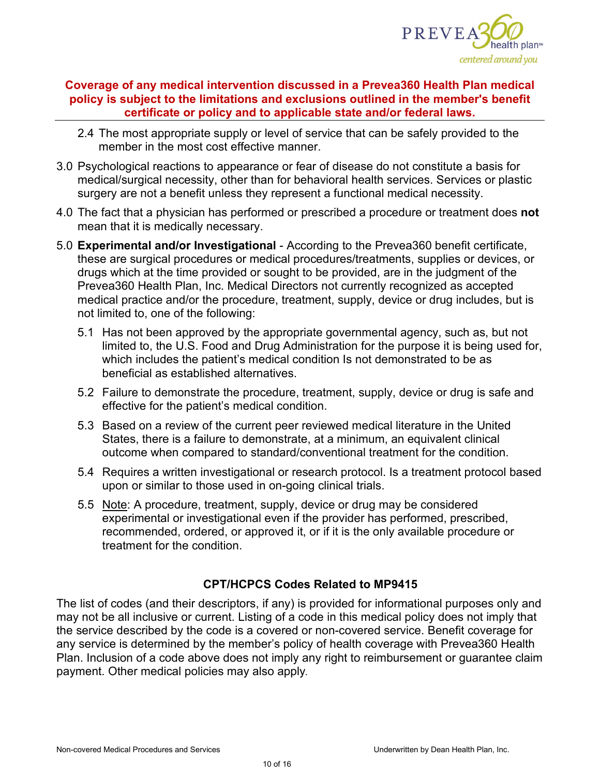

- 2.4 The most appropriate supply or level of service that can be safely provided to the member in the most cost effective manner.
- 3.0 Psychological reactions to appearance or fear of disease do not constitute a basis for medical/surgical necessity, other than for behavioral health services. Services or plastic surgery are not a benefit unless they represent a functional medical necessity.
- 4.0 The fact that a physician has performed or prescribed a procedure or treatment does **not** mean that it is medically necessary.
- 5.0 **Experimental and/or Investigational** According to the Prevea360 benefit certificate, these are surgical procedures or medical procedures/treatments, supplies or devices, or drugs which at the time provided or sought to be provided, are in the judgment of the Prevea360 Health Plan, Inc. Medical Directors not currently recognized as accepted medical practice and/or the procedure, treatment, supply, device or drug includes, but is not limited to, one of the following:
	- 5.1 Has not been approved by the appropriate governmental agency, such as, but not limited to, the U.S. Food and Drug Administration for the purpose it is being used for, which includes the patient's medical condition Is not demonstrated to be as beneficial as established alternatives.
	- 5.2 Failure to demonstrate the procedure, treatment, supply, device or drug is safe and effective for the patient's medical condition.
	- 5.3 Based on a review of the current peer reviewed medical literature in the United States, there is a failure to demonstrate, at a minimum, an equivalent clinical outcome when compared to standard/conventional treatment for the condition.
	- 5.4 Requires a written investigational or research protocol. Is a treatment protocol based upon or similar to those used in on-going clinical trials.
	- 5.5 Note: A procedure, treatment, supply, device or drug may be considered experimental or investigational even if the provider has performed, prescribed, recommended, ordered, or approved it, or if it is the only available procedure or treatment for the condition.

## **CPT/HCPCS Codes Related to MP9415**

The list of codes (and their descriptors, if any) is provided for informational purposes only and may not be all inclusive or current. Listing of a code in this medical policy does not imply that the service described by the code is a covered or non-covered service. Benefit coverage for any service is determined by the member's policy of health coverage with Prevea360 Health Plan. Inclusion of a code above does not imply any right to reimbursement or guarantee claim payment. Other medical policies may also apply*.*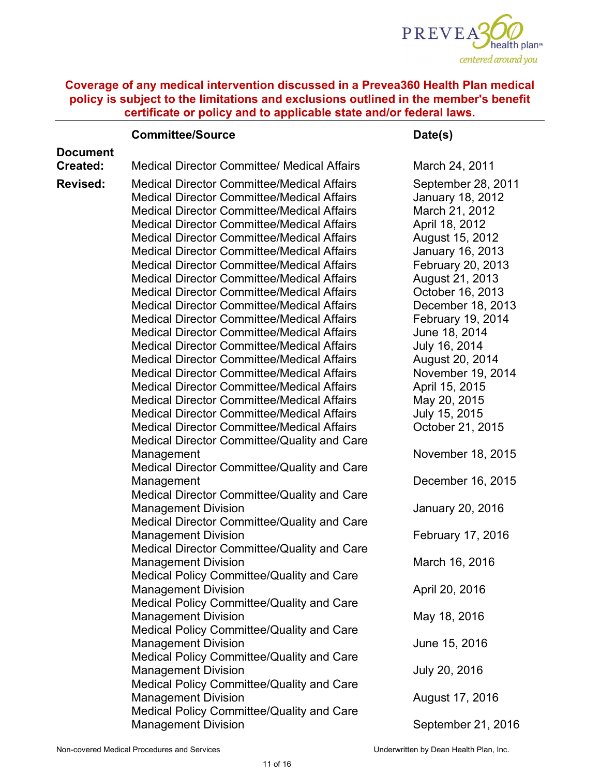

|                 | <b>Committee/Source</b>                                                                                                                                                                                                                                                                                                                                                                                                                                                                   | Date(s)                                                                                                                                                                              |
|-----------------|-------------------------------------------------------------------------------------------------------------------------------------------------------------------------------------------------------------------------------------------------------------------------------------------------------------------------------------------------------------------------------------------------------------------------------------------------------------------------------------------|--------------------------------------------------------------------------------------------------------------------------------------------------------------------------------------|
| <b>Document</b> |                                                                                                                                                                                                                                                                                                                                                                                                                                                                                           |                                                                                                                                                                                      |
| Created:        | <b>Medical Director Committee/ Medical Affairs</b>                                                                                                                                                                                                                                                                                                                                                                                                                                        | March 24, 2011                                                                                                                                                                       |
| <b>Revised:</b> | <b>Medical Director Committee/Medical Affairs</b><br><b>Medical Director Committee/Medical Affairs</b><br><b>Medical Director Committee/Medical Affairs</b><br><b>Medical Director Committee/Medical Affairs</b><br><b>Medical Director Committee/Medical Affairs</b><br><b>Medical Director Committee/Medical Affairs</b><br><b>Medical Director Committee/Medical Affairs</b><br><b>Medical Director Committee/Medical Affairs</b><br><b>Medical Director Committee/Medical Affairs</b> | September 28, 2011<br><b>January 18, 2012</b><br>March 21, 2012<br>April 18, 2012<br>August 15, 2012<br>January 16, 2013<br>February 20, 2013<br>August 21, 2013<br>October 16, 2013 |
|                 | <b>Medical Director Committee/Medical Affairs</b><br><b>Medical Director Committee/Medical Affairs</b>                                                                                                                                                                                                                                                                                                                                                                                    | December 18, 2013<br>February 19, 2014                                                                                                                                               |
|                 | <b>Medical Director Committee/Medical Affairs</b>                                                                                                                                                                                                                                                                                                                                                                                                                                         | June 18, 2014                                                                                                                                                                        |
|                 | <b>Medical Director Committee/Medical Affairs</b><br><b>Medical Director Committee/Medical Affairs</b>                                                                                                                                                                                                                                                                                                                                                                                    | July 16, 2014<br>August 20, 2014                                                                                                                                                     |
|                 | <b>Medical Director Committee/Medical Affairs</b>                                                                                                                                                                                                                                                                                                                                                                                                                                         | November 19, 2014                                                                                                                                                                    |
|                 | <b>Medical Director Committee/Medical Affairs</b>                                                                                                                                                                                                                                                                                                                                                                                                                                         | April 15, 2015                                                                                                                                                                       |
|                 | <b>Medical Director Committee/Medical Affairs</b>                                                                                                                                                                                                                                                                                                                                                                                                                                         | May 20, 2015                                                                                                                                                                         |
|                 | <b>Medical Director Committee/Medical Affairs</b><br><b>Medical Director Committee/Medical Affairs</b>                                                                                                                                                                                                                                                                                                                                                                                    | July 15, 2015<br>October 21, 2015                                                                                                                                                    |
|                 | Medical Director Committee/Quality and Care                                                                                                                                                                                                                                                                                                                                                                                                                                               |                                                                                                                                                                                      |
|                 | Management                                                                                                                                                                                                                                                                                                                                                                                                                                                                                | November 18, 2015                                                                                                                                                                    |
|                 | Medical Director Committee/Quality and Care                                                                                                                                                                                                                                                                                                                                                                                                                                               |                                                                                                                                                                                      |
|                 | Management<br>Medical Director Committee/Quality and Care                                                                                                                                                                                                                                                                                                                                                                                                                                 | December 16, 2015                                                                                                                                                                    |
|                 | <b>Management Division</b><br>Medical Director Committee/Quality and Care                                                                                                                                                                                                                                                                                                                                                                                                                 | January 20, 2016                                                                                                                                                                     |
|                 | <b>Management Division</b><br>Medical Director Committee/Quality and Care                                                                                                                                                                                                                                                                                                                                                                                                                 | February 17, 2016                                                                                                                                                                    |
|                 | <b>Management Division</b><br>Medical Policy Committee/Quality and Care                                                                                                                                                                                                                                                                                                                                                                                                                   | March 16, 2016                                                                                                                                                                       |
|                 | <b>Management Division</b><br>Medical Policy Committee/Quality and Care                                                                                                                                                                                                                                                                                                                                                                                                                   | April 20, 2016                                                                                                                                                                       |
|                 | <b>Management Division</b><br>Medical Policy Committee/Quality and Care                                                                                                                                                                                                                                                                                                                                                                                                                   | May 18, 2016                                                                                                                                                                         |
|                 | <b>Management Division</b><br>Medical Policy Committee/Quality and Care                                                                                                                                                                                                                                                                                                                                                                                                                   | June 15, 2016                                                                                                                                                                        |
|                 | <b>Management Division</b><br>Medical Policy Committee/Quality and Care                                                                                                                                                                                                                                                                                                                                                                                                                   | July 20, 2016                                                                                                                                                                        |
|                 | <b>Management Division</b><br>Medical Policy Committee/Quality and Care                                                                                                                                                                                                                                                                                                                                                                                                                   | August 17, 2016                                                                                                                                                                      |
|                 | <b>Management Division</b>                                                                                                                                                                                                                                                                                                                                                                                                                                                                | September 21, 2016                                                                                                                                                                   |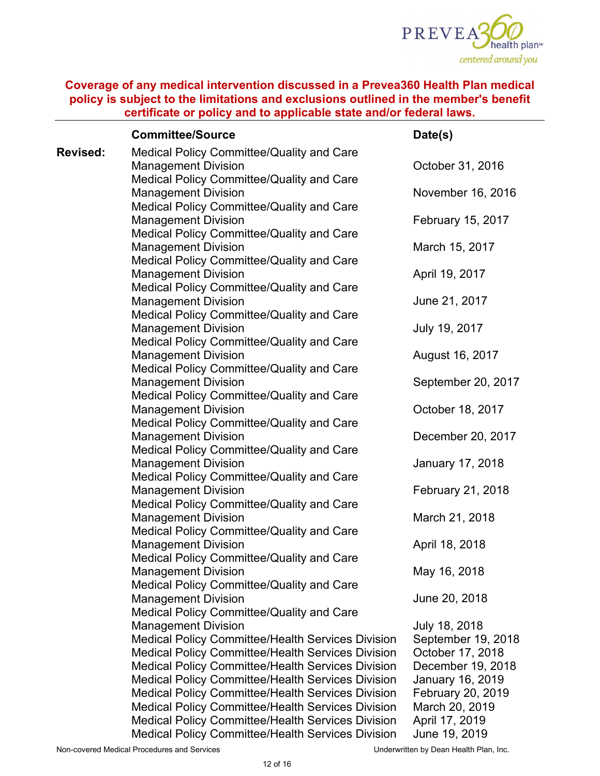

|                 | <b>Committee/Source</b>                                                 | Date(s)            |
|-----------------|-------------------------------------------------------------------------|--------------------|
| <b>Revised:</b> | Medical Policy Committee/Quality and Care                               |                    |
|                 | <b>Management Division</b>                                              | October 31, 2016   |
|                 | Medical Policy Committee/Quality and Care                               |                    |
|                 | <b>Management Division</b>                                              | November 16, 2016  |
|                 | Medical Policy Committee/Quality and Care                               |                    |
|                 | <b>Management Division</b>                                              | February 15, 2017  |
|                 | Medical Policy Committee/Quality and Care                               |                    |
|                 | <b>Management Division</b>                                              | March 15, 2017     |
|                 | Medical Policy Committee/Quality and Care                               |                    |
|                 | <b>Management Division</b>                                              | April 19, 2017     |
|                 | Medical Policy Committee/Quality and Care                               |                    |
|                 | <b>Management Division</b>                                              | June 21, 2017      |
|                 | Medical Policy Committee/Quality and Care                               |                    |
|                 | <b>Management Division</b>                                              | July 19, 2017      |
|                 | Medical Policy Committee/Quality and Care                               |                    |
|                 | <b>Management Division</b>                                              | August 16, 2017    |
|                 | Medical Policy Committee/Quality and Care                               |                    |
|                 | <b>Management Division</b>                                              | September 20, 2017 |
|                 | Medical Policy Committee/Quality and Care                               |                    |
|                 | <b>Management Division</b>                                              | October 18, 2017   |
|                 | Medical Policy Committee/Quality and Care                               |                    |
|                 | <b>Management Division</b>                                              | December 20, 2017  |
|                 | Medical Policy Committee/Quality and Care                               |                    |
|                 | <b>Management Division</b>                                              | January 17, 2018   |
|                 | Medical Policy Committee/Quality and Care<br><b>Management Division</b> | February 21, 2018  |
|                 | Medical Policy Committee/Quality and Care                               |                    |
|                 | <b>Management Division</b>                                              | March 21, 2018     |
|                 | Medical Policy Committee/Quality and Care                               |                    |
|                 | <b>Management Division</b>                                              | April 18, 2018     |
|                 | Medical Policy Committee/Quality and Care                               |                    |
|                 | <b>Management Division</b>                                              | May 16, 2018       |
|                 | Medical Policy Committee/Quality and Care                               |                    |
|                 | <b>Management Division</b>                                              | June 20, 2018      |
|                 | Medical Policy Committee/Quality and Care                               |                    |
|                 | <b>Management Division</b>                                              | July 18, 2018      |
|                 | <b>Medical Policy Committee/Health Services Division</b>                | September 19, 2018 |
|                 | <b>Medical Policy Committee/Health Services Division</b>                | October 17, 2018   |
|                 | <b>Medical Policy Committee/Health Services Division</b>                | December 19, 2018  |
|                 | <b>Medical Policy Committee/Health Services Division</b>                | January 16, 2019   |
|                 | <b>Medical Policy Committee/Health Services Division</b>                | February 20, 2019  |
|                 | <b>Medical Policy Committee/Health Services Division</b>                | March 20, 2019     |
|                 | <b>Medical Policy Committee/Health Services Division</b>                | April 17, 2019     |
|                 | <b>Medical Policy Committee/Health Services Division</b>                | June 19, 2019      |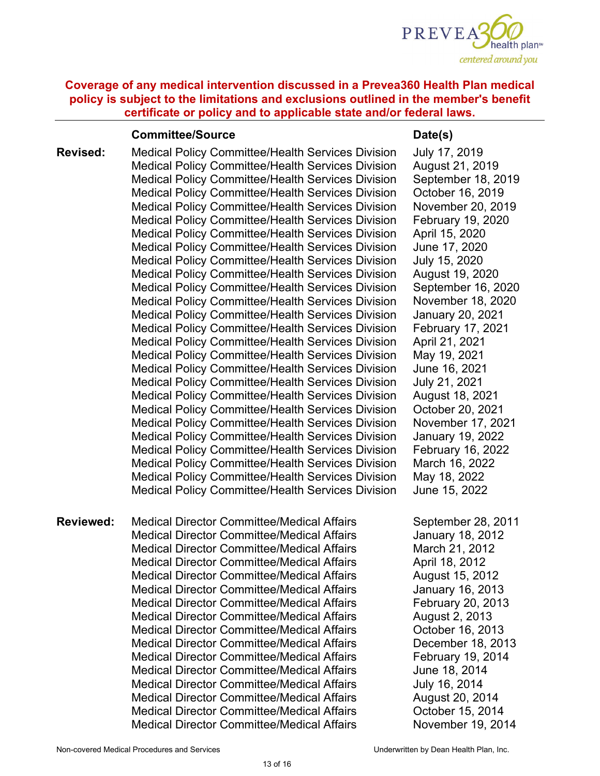

#### **Committee/Source Date(s)**

**Revised:** Medical Policy Committee/Health Services Division Medical Policy Committee/Health Services Division Medical Policy Committee/Health Services Division Medical Policy Committee/Health Services Division Medical Policy Committee/Health Services Division Medical Policy Committee/Health Services Division Medical Policy Committee/Health Services Division Medical Policy Committee/Health Services Division Medical Policy Committee/Health Services Division Medical Policy Committee/Health Services Division Medical Policy Committee/Health Services Division Medical Policy Committee/Health Services Division Medical Policy Committee/Health Services Division Medical Policy Committee/Health Services Division Medical Policy Committee/Health Services Division Medical Policy Committee/Health Services Division Medical Policy Committee/Health Services Division Medical Policy Committee/Health Services Division Medical Policy Committee/Health Services Division Medical Policy Committee/Health Services Division Medical Policy Committee/Health Services Division Medical Policy Committee/Health Services Division Medical Policy Committee/Health Services Division Medical Policy Committee/Health Services Division Medical Policy Committee/Health Services Division Medical Policy Committee/Health Services Division

**Reviewed:** Medical Director Committee/Medical Affairs Medical Director Committee/Medical Affairs Medical Director Committee/Medical Affairs Medical Director Committee/Medical Affairs Medical Director Committee/Medical Affairs Medical Director Committee/Medical Affairs Medical Director Committee/Medical Affairs Medical Director Committee/Medical Affairs Medical Director Committee/Medical Affairs Medical Director Committee/Medical Affairs Medical Director Committee/Medical Affairs Medical Director Committee/Medical Affairs Medical Director Committee/Medical Affairs Medical Director Committee/Medical Affairs Medical Director Committee/Medical Affairs Medical Director Committee/Medical Affairs

July 17, 2019 August 21, 2019 September 18, 2019 October 16, 2019 November 20, 2019 February 19, 2020 April 15, 2020 June 17, 2020 July 15, 2020 August 19, 2020 September 16, 2020 November 18, 2020 January 20, 2021 February 17, 2021 April 21, 2021 May 19, 2021 June 16, 2021 July 21, 2021 August 18, 2021 October 20, 2021 November 17, 2021 January 19, 2022 February 16, 2022 March 16, 2022 May 18, 2022 June 15, 2022

September 28, 2011 January 18, 2012 March 21, 2012 April 18, 2012 August 15, 2012 January 16, 2013 February 20, 2013 August 2, 2013 October 16, 2013 December 18, 2013 February 19, 2014 June 18, 2014 July 16, 2014 August 20, 2014 October 15, 2014 November 19, 2014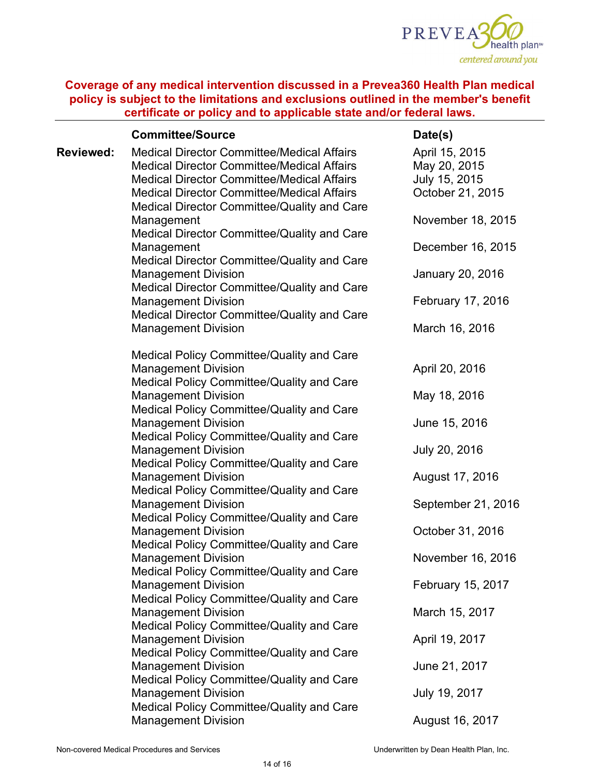

|                  | <b>Committee/Source</b>                                                                                                                                                                                                                                         | Date(s)                                                             |
|------------------|-----------------------------------------------------------------------------------------------------------------------------------------------------------------------------------------------------------------------------------------------------------------|---------------------------------------------------------------------|
| <b>Reviewed:</b> | <b>Medical Director Committee/Medical Affairs</b><br><b>Medical Director Committee/Medical Affairs</b><br><b>Medical Director Committee/Medical Affairs</b><br><b>Medical Director Committee/Medical Affairs</b><br>Medical Director Committee/Quality and Care | April 15, 2015<br>May 20, 2015<br>July 15, 2015<br>October 21, 2015 |
|                  | Management<br>Medical Director Committee/Quality and Care                                                                                                                                                                                                       | November 18, 2015                                                   |
|                  | Management                                                                                                                                                                                                                                                      | December 16, 2015                                                   |
|                  | Medical Director Committee/Quality and Care<br><b>Management Division</b><br>Medical Director Committee/Quality and Care                                                                                                                                        | January 20, 2016                                                    |
|                  | <b>Management Division</b><br>Medical Director Committee/Quality and Care                                                                                                                                                                                       | February 17, 2016                                                   |
|                  | <b>Management Division</b>                                                                                                                                                                                                                                      | March 16, 2016                                                      |
|                  | Medical Policy Committee/Quality and Care<br><b>Management Division</b>                                                                                                                                                                                         | April 20, 2016                                                      |
|                  | Medical Policy Committee/Quality and Care<br><b>Management Division</b><br>Medical Policy Committee/Quality and Care                                                                                                                                            | May 18, 2016                                                        |
|                  | <b>Management Division</b><br>Medical Policy Committee/Quality and Care                                                                                                                                                                                         | June 15, 2016                                                       |
|                  | <b>Management Division</b><br>Medical Policy Committee/Quality and Care                                                                                                                                                                                         | July 20, 2016                                                       |
|                  | <b>Management Division</b><br>Medical Policy Committee/Quality and Care                                                                                                                                                                                         | August 17, 2016                                                     |
|                  | <b>Management Division</b><br>Medical Policy Committee/Quality and Care                                                                                                                                                                                         | September 21, 2016                                                  |
|                  | <b>Management Division</b><br>Medical Policy Committee/Quality and Care                                                                                                                                                                                         | October 31, 2016                                                    |
|                  | <b>Management Division</b><br>Medical Policy Committee/Quality and Care                                                                                                                                                                                         | November 16, 2016                                                   |
|                  | <b>Management Division</b><br>Medical Policy Committee/Quality and Care                                                                                                                                                                                         | February 15, 2017                                                   |
|                  | <b>Management Division</b><br>Medical Policy Committee/Quality and Care                                                                                                                                                                                         | March 15, 2017                                                      |
|                  | <b>Management Division</b><br>Medical Policy Committee/Quality and Care                                                                                                                                                                                         | April 19, 2017                                                      |
|                  | <b>Management Division</b>                                                                                                                                                                                                                                      | June 21, 2017                                                       |
|                  | Medical Policy Committee/Quality and Care<br><b>Management Division</b><br>Medical Policy Committee/Quality and Care                                                                                                                                            | July 19, 2017                                                       |
|                  | <b>Management Division</b>                                                                                                                                                                                                                                      | August 16, 2017                                                     |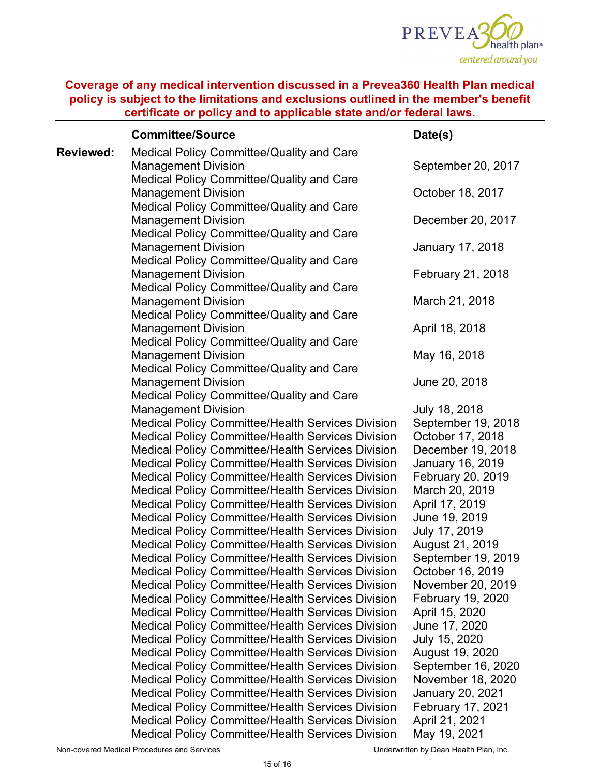

|           | <b>Committee/Source</b>                                                                                              | Date(s)                                      |
|-----------|----------------------------------------------------------------------------------------------------------------------|----------------------------------------------|
| Reviewed: | Medical Policy Committee/Quality and Care<br><b>Management Division</b>                                              | September 20, 2017                           |
|           | Medical Policy Committee/Quality and Care<br><b>Management Division</b>                                              | October 18, 2017                             |
|           | Medical Policy Committee/Quality and Care<br><b>Management Division</b><br>Medical Policy Committee/Quality and Care | December 20, 2017                            |
|           | <b>Management Division</b><br>Medical Policy Committee/Quality and Care                                              | January 17, 2018                             |
|           | <b>Management Division</b><br>Medical Policy Committee/Quality and Care                                              | February 21, 2018                            |
|           | <b>Management Division</b><br>Medical Policy Committee/Quality and Care                                              | March 21, 2018                               |
|           | <b>Management Division</b><br>Medical Policy Committee/Quality and Care                                              | April 18, 2018                               |
|           | <b>Management Division</b><br>Medical Policy Committee/Quality and Care                                              | May 16, 2018                                 |
|           | <b>Management Division</b><br>Medical Policy Committee/Quality and Care                                              | June 20, 2018                                |
|           | <b>Management Division</b><br><b>Medical Policy Committee/Health Services Division</b>                               | July 18, 2018<br>September 19, 2018          |
|           | <b>Medical Policy Committee/Health Services Division</b><br><b>Medical Policy Committee/Health Services Division</b> | October 17, 2018<br>December 19, 2018        |
|           | <b>Medical Policy Committee/Health Services Division</b><br><b>Medical Policy Committee/Health Services Division</b> | January 16, 2019<br>February 20, 2019        |
|           | <b>Medical Policy Committee/Health Services Division</b><br><b>Medical Policy Committee/Health Services Division</b> | March 20, 2019<br>April 17, 2019             |
|           | <b>Medical Policy Committee/Health Services Division</b><br><b>Medical Policy Committee/Health Services Division</b> | June 19, 2019<br>July 17, 2019               |
|           | <b>Medical Policy Committee/Health Services Division</b><br><b>Medical Policy Committee/Health Services Division</b> | August 21, 2019<br>September 19, 2019        |
|           | <b>Medical Policy Committee/Health Services Division</b><br><b>Medical Policy Committee/Health Services Division</b> | October 16, 2019<br>November 20, 2019        |
|           | <b>Medical Policy Committee/Health Services Division</b><br><b>Medical Policy Committee/Health Services Division</b> | February 19, 2020<br>April 15, 2020          |
|           | <b>Medical Policy Committee/Health Services Division</b><br><b>Medical Policy Committee/Health Services Division</b> | June 17, 2020<br>July 15, 2020               |
|           | <b>Medical Policy Committee/Health Services Division</b><br><b>Medical Policy Committee/Health Services Division</b> | August 19, 2020<br>September 16, 2020        |
|           | <b>Medical Policy Committee/Health Services Division</b><br><b>Medical Policy Committee/Health Services Division</b> | November 18, 2020<br><b>January 20, 2021</b> |
|           | <b>Medical Policy Committee/Health Services Division</b><br><b>Medical Policy Committee/Health Services Division</b> | <b>February 17, 2021</b><br>April 21, 2021   |
|           | <b>Medical Policy Committee/Health Services Division</b>                                                             | May 19, 2021                                 |